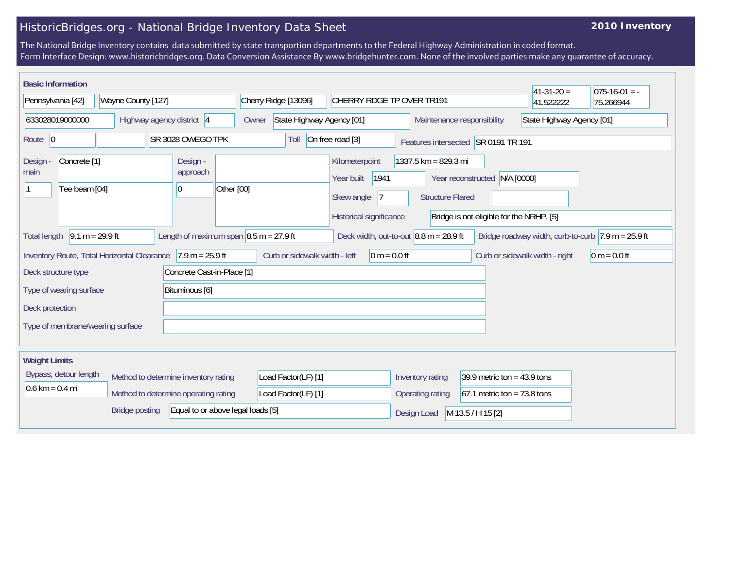## HistoricBridges.org - National Bridge Inventory Data Sheet

## **2010 Inventory**

The National Bridge Inventory contains data submitted by state transportion departments to the Federal Highway Administration in coded format. Form Interface Design: www.historicbridges.org. Data Conversion Assistance By www.bridgehunter.com. None of the involved parties make any guarantee of accuracy.

| <b>Basic Information</b>                                                                                                                                                                                       |                                          |                    |                                      |                |                      |                                            |                                       |                                                 |                                                                | $41-31-20=$               | $ 075-16-01 = -$ |
|----------------------------------------------------------------------------------------------------------------------------------------------------------------------------------------------------------------|------------------------------------------|--------------------|--------------------------------------|----------------|----------------------|--------------------------------------------|---------------------------------------|-------------------------------------------------|----------------------------------------------------------------|---------------------------|------------------|
| Pennsylvania [42]                                                                                                                                                                                              |                                          | Wayne County [127] |                                      |                | Cherry Ridge [13096] |                                            |                                       | CHERRY RDGE TP OVER TR191                       |                                                                | 41.522222                 | 75.266944        |
| 633028019000000                                                                                                                                                                                                |                                          |                    | Highway agency district 4            |                | Owner                | State Highway Agency [01]                  |                                       |                                                 | Maintenance responsibility                                     | State Highway Agency [01] |                  |
| Route $ 0$                                                                                                                                                                                                     |                                          |                    | SR 3028 OWEGO TPK                    |                | Toll                 | On free road [3]                           |                                       |                                                 | Features intersected SR 0191 TR 191                            |                           |                  |
| Design<br>main                                                                                                                                                                                                 | Concrete <sup>[1]</sup><br>Tee beam [04] |                    | Design -<br>approach<br> 0           | Other [00]     |                      | Kilometerpoint<br>Year built<br>Skew angle | 1941<br>17<br>Historical significance | 1337.5 km = 829.3 mi<br><b>Structure Flared</b> | Year reconstructed<br>Bridge is not eligible for the NRHP. [5] | N/A [0000]                |                  |
| Length of maximum span $\vert 8.5 \text{ m} = 27.9 \text{ ft}$<br>$9.1 m = 29.9 ft$<br>Deck width, out-to-out $8.8$ m = 28.9 ft<br>Bridge roadway width, curb-to-curb $\sqrt{7.9}$ m = 25.9 ft<br>Total length |                                          |                    |                                      |                |                      |                                            |                                       |                                                 |                                                                |                           |                  |
| $7.9 m = 25.9 ft$<br>Curb or sidewalk width - left<br>Inventory Route, Total Horizontal Clearance                                                                                                              |                                          |                    |                                      | 0 m = $0.0$ ft |                      |                                            | Curb or sidewalk width - right        | $0 m = 0.0 ft$                                  |                                                                |                           |                  |
| Concrete Cast-in-Place [1]<br>Deck structure type                                                                                                                                                              |                                          |                    |                                      |                |                      |                                            |                                       |                                                 |                                                                |                           |                  |
| Type of wearing surface<br>Bituminous [6]                                                                                                                                                                      |                                          |                    |                                      |                |                      |                                            |                                       |                                                 |                                                                |                           |                  |
| Deck protection                                                                                                                                                                                                |                                          |                    |                                      |                |                      |                                            |                                       |                                                 |                                                                |                           |                  |
| Type of membrane/wearing surface                                                                                                                                                                               |                                          |                    |                                      |                |                      |                                            |                                       |                                                 |                                                                |                           |                  |
| <b>Weight Limits</b>                                                                                                                                                                                           |                                          |                    |                                      |                |                      |                                            |                                       |                                                 |                                                                |                           |                  |
| Bypass, detour length                                                                                                                                                                                          |                                          |                    | Method to determine inventory rating |                | Load Factor(LF) [1]  |                                            |                                       | Inventory rating                                | 39.9 metric ton = $43.9$ tons                                  |                           |                  |
| $0.6 \text{ km} = 0.4 \text{ mi}$                                                                                                                                                                              |                                          |                    | Method to determine operating rating |                | Load Factor(LF) [1]  |                                            |                                       | Operating rating                                | $67.1$ metric ton = 73.8 tons                                  |                           |                  |
| Equal to or above legal loads [5]<br><b>Bridge posting</b>                                                                                                                                                     |                                          |                    |                                      |                |                      |                                            | Design Load                           | M 13.5 / H 15 [2]                               |                                                                |                           |                  |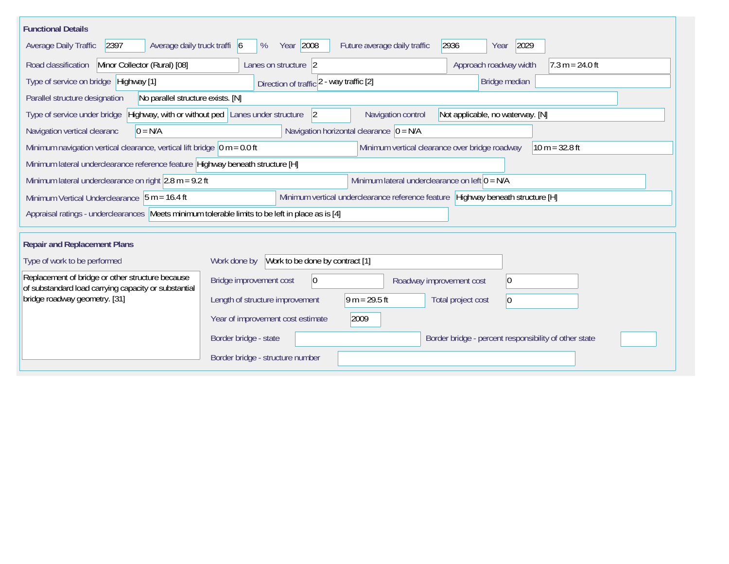| <b>Functional Details</b>                                                                                |                                                          |                                                  |                                                                                 |
|----------------------------------------------------------------------------------------------------------|----------------------------------------------------------|--------------------------------------------------|---------------------------------------------------------------------------------|
| 2397<br>Average daily truck traffi 6<br>Average Daily Traffic                                            | Year 2008<br>%                                           | Future average daily traffic                     | 2936<br>2029<br>Year                                                            |
| Minor Collector (Rural) [08]<br>Road classification                                                      | Lanes on structure 2                                     |                                                  | Approach roadway width<br>$7.3 m = 24.0 ft$                                     |
| Type of service on bridge Highway [1]                                                                    | Direction of traffic 2 - way traffic [2]                 |                                                  | Bridge median                                                                   |
| No parallel structure exists. [N]<br>Parallel structure designation                                      |                                                          |                                                  |                                                                                 |
| Type of service under bridge                                                                             | Highway, with or without ped Lanes under structure<br> 2 | Navigation control                               | Not applicable, no waterway. [N]                                                |
| $0 = N/A$<br>Navigation vertical clearanc                                                                |                                                          | Navigation horizontal clearance $ 0 = N/A $      |                                                                                 |
| Minimum navigation vertical clearance, vertical lift bridge $\vert$ 0 m = 0.0 ft                         |                                                          | Minimum vertical clearance over bridge roadway   | $10 m = 32.8 ft$                                                                |
| Minimum lateral underclearance reference feature Highway beneath structure [H]                           |                                                          |                                                  |                                                                                 |
| Minimum lateral underclearance on right $2.8$ m = 9.2 ft                                                 |                                                          | Minimum lateral underclearance on left $0 = N/A$ |                                                                                 |
| Minimum Vertical Underclearance   5 m = 16.4 ft                                                          |                                                          |                                                  | Minimum vertical underclearance reference feature Highway beneath structure [H] |
| Appraisal ratings - underclearances Meets minimum tolerable limits to be left in place as is [4]         |                                                          |                                                  |                                                                                 |
| <b>Repair and Replacement Plans</b>                                                                      |                                                          |                                                  |                                                                                 |
| Type of work to be performed                                                                             | Work to be done by contract [1]<br>Work done by          |                                                  |                                                                                 |
| Replacement of bridge or other structure because<br>of substandard load carrying capacity or substantial | Bridge improvement cost<br>$\overline{0}$                | Roadway improvement cost                         | 0                                                                               |
| bridge roadway geometry. [31]                                                                            | Length of structure improvement                          | $9 m = 29.5 ft$                                  | Total project cost<br>$\vert$ 0                                                 |
|                                                                                                          | Year of improvement cost estimate                        | 2009                                             |                                                                                 |
|                                                                                                          | Border bridge - state                                    |                                                  | Border bridge - percent responsibility of other state                           |
|                                                                                                          | Border bridge - structure number                         |                                                  |                                                                                 |